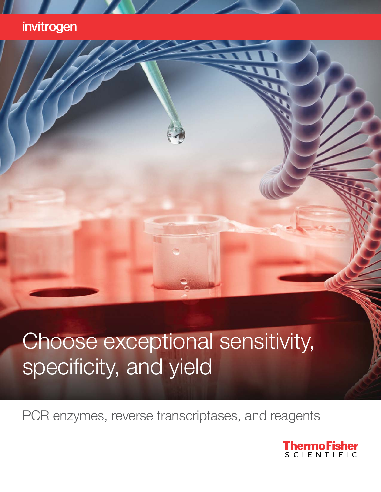### invitrogen

# Choose exceptional sensitivity, specificity, and yield

PCR enzymes, reverse transcriptases, and reagents

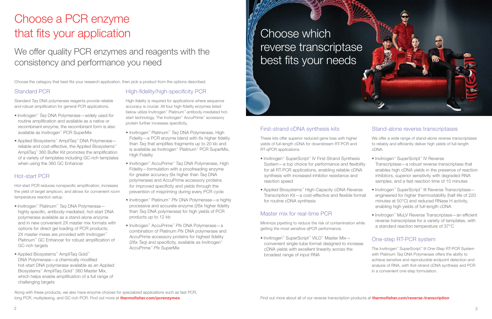## Choose a PCR enzyme that fits your application

## We offer quality PCR enzymes and reagents with the consistency and performance you need

# Choose which best fits your needs



Choose the category that best fits your research application, then pick a product from the options described.

#### Standard PCR

Standard Taq DNA polymerase reagents provide reliable and robust amplification for general PCR applications.

- Invitrogen™ Taq DNA Polymerase—widely used for routine amplification and available as a native or recombinant enzyme; the recombinant form is also available as Invitrogen™ PCR SuperMix
- Applied Biosystems™ AmpliTaq™ DNA Polymerase reliable and cost-effective, the Applied Biosystems™ AmpliTaq™ 360 Buffer Kit promotes the amplification of a variety of templates including GC-rich templates when using the 360 GC Enhancer

#### Hot-start PCR

Hot-start PCR reduces nonspecific amplification, increases the yield of target amplicon, and allows for convenient room temperature reaction setup.

- Invitrogen™ Platinum™ Taq DNA Polymerase highly specific, antibody-mediated, hot-start DNA polymerase available as a stand-alone enzyme and in new convenient 2X master mix formats with options for direct gel loading of PCR products; 2X master mixes are provided with Invitrogen<sup>™</sup> Platinum<sup>™</sup> GC Enhancer for robust amplification of GC-rich targets
- Applied Biosystems™ AmpliTaq Gold™ DNA Polymerase—a chemically modified hot-start DNA polymerase available as an Applied Biosystems™ AmpliTaq Gold™ 360 Master Mix, which helps enable amplification of a full range of challenging targets

#### High-fidelity/high-specificity PCR

High-fidelity is required for applications where sequence accuracy is crucial. All four high-fidelity enzymes listed below utilize Invitrogen™ Platinum™ antibody-mediated hotstart technology. The Invitrogen<sup>™</sup> AccuPrime<sup>™</sup> accessory protein further increases specificity.

- Invitrogen™ Platinum™ Taq DNA Polymerase, High Fidelity—a PCR enzyme blend with 6x higher fidelity than Taq that amplifies fragments up to 20 kb and is available as Invitrogen™ Platinum™ PCR SuperMix, High Fidelity
- Invitrogen™ AccuPrime™ Taq DNA Polymerase, High Fidelity—formulation with a proofreading enzyme for greater accuracy (9x higher than Taq DNA polymerase) and AccuPrime accessory proteins for improved specificity and yields through the prevention of mispriming during every PCR cycle
- Invitrogen™ Platinum™ Pfx DNA Polymerase—a highly processive and accurate enzyme (26x higher fidelity than Taq DNA polymerase) for high yields of PCR products up to 12 kb
- Invitrogen™ AccuPrime™ Pfx DNA Polymerase—a combination of Platinum Pfx DNA polymerase and AccuPrime accessory proteins for highest fidelity (26x Taq) and specificity, available as Invitrogen<sup>™</sup> AccuPrime™ Pfx SuperMix

#### First-strand cDNA synthesis kits

These kits offer superior reduced gene bias with higher yields of full-length cDNA for downstream RT-PCR and RT-qPCR applications.

- Invitrogen™ SuperScript™ IV First-Strand Synthesis System—a top choice for performance and flexibility for all RT-PCR applications, enabling reliable cDNA synthesis with increased inhibitor resistance and reaction speed
- Applied Biosystems™ High-Capacity cDNA Reverse Transcription Kit—a cost-effective and flexible format for routine cDNA synthesis

#### Master mix for real-time PCR

Minimize pipetting to reduce the risk of contamination while getting the most sensitive qPCR performance.

• Invitrogen™ SuperScript™ VILO™ Master Mix convenient single-tube format designed to increase cDNA yields with excellent linearity across the broadest range of input RNA

#### Stand-alone reverse transcriptases

We offer a wide range of stand-alone reverse transcriptases to reliably and efficiently deliver high yields of full-length cDNA.

| • Invitrogen <sup>™</sup> SuperScript <sup>™</sup> IV Reverse |
|---------------------------------------------------------------|
| Transcriptase - a robust reverse transcriptase that           |
| enables high cDNA yields in the presence of reaction          |
| inhibitors, superior sensitivity with degraded RNA            |
| samples, and a fast reaction time of 10 minutes               |
|                                                               |

- Invitrogen™ SuperScript™ III Reverse Transcriptase engineered for higher thermostability (half-life of 220 minutes at 50°C) and reduced RNase H activity, enabling high yields of full-length cDNA
- Invitrogen™ MuLV Reverse Transcriptase—an efficient reverse transcriptase for a variety of templates, with a standard reaction temperature of 37°C

#### One-step RT-PCR system

The Invitrogen™ SuperScript™ III One-Step RT-PCR System with Platinum Taq DNA Polymerase offers the ability to achieve sensitive and reproducible endpoint detection and analysis of RNA, with first-strand cDNA synthesis and PCR in a convenient one-step formulation.

Along with these products, we also have enzyme choices for specialized applications such as fast PCR,